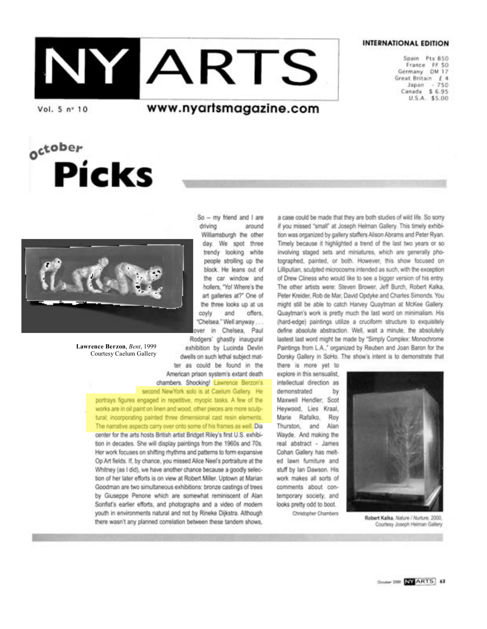# NYARTS

**INTERNATIONAL EDITION** 

Spain Pts 850 France FF 50 Germany DM 17 Great Britain £ 4 Japan  $+750$ Canada \$ 6.95 U.S.A. \$5.00

Vol. 5 nº 10

october

### www.nyartsmagazine.com



**Picks** 

Lawrence Berzon, Bent, 1999 Courtesy Caelum Gallery

 $So - my friend and 1 are$ driving around Williamsburgh the other day. We spot three trendy looking white people strolling up the block. He leans out of the car window and hollers, "Yo! Where's the art galleries at?" One of the three looks up at us coviv and offers. "Chelsea." Well anyway ... over in Chelsea, Paul Rodgers' ghastly inaugural exhibition by Lucinda Devlin dwells on such lethal subject matter as could be found in the American prison system's extant death chambers. Shocking! Lawrence Berzon's second NewYork solo is at Caelum Gallery. He

portrays figures engaged in repetitive, myopic tasks. A few of the works are in oil paint on linen and wood, other pieces are more sculptural; incorporating painted three dimensional cast resin elements. The narrative aspects carry over onto some of his frames as well. Dia center for the arts hosts British artist Bridget Riley's first U.S. exhibition in decades. She will display paintings from the 1960s and 70s. Her work focuses on shifting rhythms and patterns to form expansive Op Art fields. If, by chance, you missed Alice Neel's portraiture at the Whitney (as I did), we have another chance because a goodly selection of her later efforts is on view at Robert Miller. Uptown at Marian Goodman are two simultaneous exhibitions: bronze castings of trees by Giuseppe Penone which are somewhat reminiscent of Alan Sonfist's earlier efforts, and photographs and a video of modern youth in environments natural and not by Rineke Dijkstra. Although there wasn't any planned correlation between these tandem shows,

a case could be made that they are both studies of wild life. So sorry if you missed "small" at Joseph Helman Gallery. This timely exhibition was organized by gallery staffers Alison Abrams and Peter Ryan. Timely because it highlighted a trend of the last two years or so involving staged sets and miniatures, which are generally photographed, painted, or both. However, this show focused on Lilliputian, sculpted microcosms intended as such, with the exception of Drew Cliness who would like to see a bigger version of his entry. The other artists were: Steven Brower, Jeff Burch, Robert Kalka, Peter Kreider, Rob de Mar, David Opdyke and Charles Simonds. You might still be able to catch Harvey Quaytman at McKee Gallery. Quaytman's work is pretty much the last word on minimalism. His (hard-edge) paintings utilize a cruciform structure to exquisitely define absolute abstraction. Well, wait a minute, the absolutely lastest last word might be made by "Simply Complex: Monochrome Paintings from L.A.," organized by Reuben and Joan Baron for the Dorsky Gallery in SoHo. The show's intent is to demonstrate that

there is more yet to explore in this sensualist. intellectual direction as demonstrated by Maxwell Hendler, Scot Heywood, Lies Kraal, Marie Rafalko, Roy Thurston, and Alan Wayde. And making the real abstract - James Cohan Gallery has melted lawn furniture and stuff by Ian Dawson. His work makes all sorts of comments about contemporary society, and looks pretty odd to boot.

Christopher Chambers



Robert Kalka, Nature / Nurture, 2000. Courtesy Joseph Helman Gallery